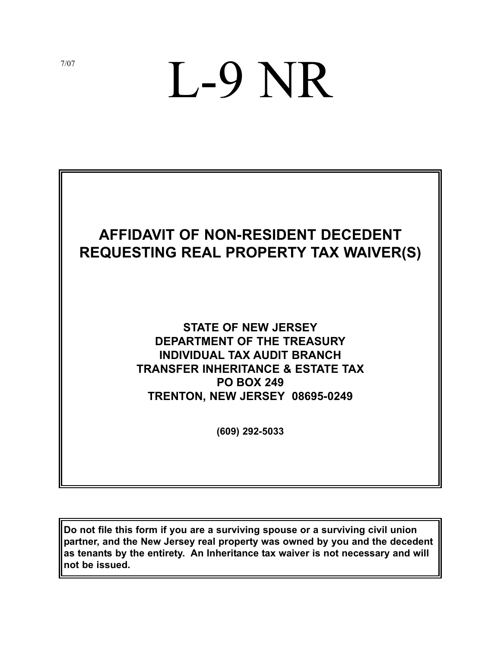# L-9 NR



# **STATE OF NEW JERSEY DEPARTMENT OF THE TREASURY INDIVIDUAL TAX AUDIT BRANCH TRANSFER INHERITANCE & ESTATE TAX PO BOX 249 TRENTON, NEW JERSEY 08695-0249**

**(609) 292-5033**

**Do not file this form if you are a surviving spouse or a surviving civil union partner, and the New Jersey real property was owned by you and the decedent as tenants by the entirety. An Inheritance tax waiver is not necessary and will not be issued.**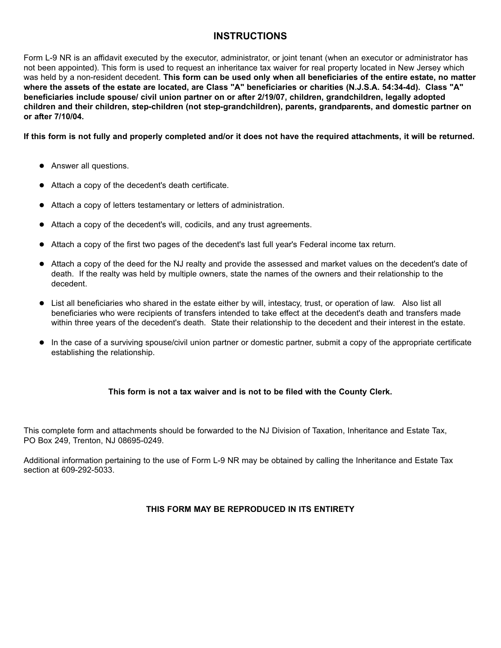## **INSTRUCTIONS**

Form L-9 NR is an affidavit executed by the executor, administrator, or joint tenant (when an executor or administrator has not been appointed). This form is used to request an inheritance tax waiver for real property located in New Jersey which was held by a non-resident decedent. **This form can be used only when all beneficiaries of the entire estate, no matter where the assets of the estate are located, are Class "A" beneficiaries or charities (N.J.S.A. 54:34-4d). Class "A" beneficiaries include spouse/ civil union partner on or after 2/19/07, children, grandchildren, legally adopted children and their children, step-children (not step-grandchildren), parents, grandparents, and domestic partner on or after 7/10/04.**

**If this form is not fully and properly completed and/or it does not have the required attachments, it will be returned.** 

- **•** Answer all questions.
- Attach a copy of the decedent's death certificate.
- Attach a copy of letters testamentary or letters of administration.
- Attach a copy of the decedent's will, codicils, and any trust agreements.
- Attach a copy of the first two pages of the decedent's last full year's Federal income tax return.
- Attach a copy of the deed for the NJ realty and provide the assessed and market values on the decedent's date of death. If the realty was held by multiple owners, state the names of the owners and their relationship to the decedent.
- List all beneficiaries who shared in the estate either by will, intestacy, trust, or operation of law. Also list all beneficiaries who were recipients of transfers intended to take effect at the decedent's death and transfers made within three years of the decedent's death. State their relationship to the decedent and their interest in the estate.
- In the case of a surviving spouse/civil union partner or domestic partner, submit a copy of the appropriate certificate establishing the relationship.

### **This form is not a tax waiver and is not to be filed with the County Clerk.**

This complete form and attachments should be forwarded to the NJ Division of Taxation, Inheritance and Estate Tax, PO Box 249, Trenton, NJ 08695-0249.

Additional information pertaining to the use of Form L-9 NR may be obtained by calling the Inheritance and Estate Tax section at 609-292-5033.

#### **THIS FORM MAY BE REPRODUCED IN ITS ENTIRETY**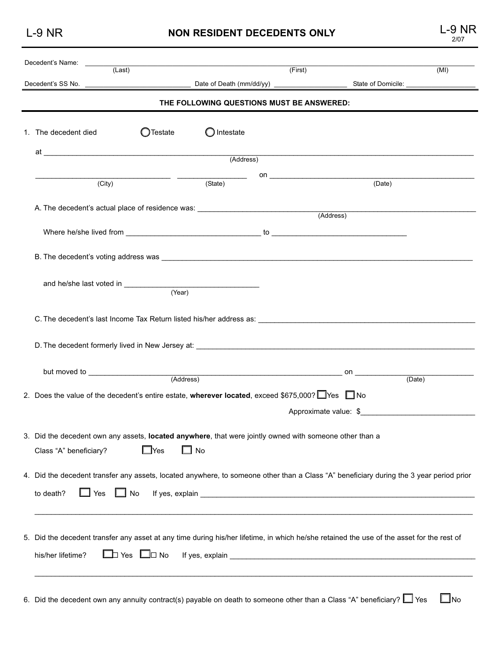L-9 NR **NON RESIDENT DECEDENTS ONLY** L-9 NR

|      | 9 NR |
|------|------|
| 2/07 |      |

| Decedent's Name:<br>(Last)        |                        | (First)                                                                                                                           |                                                                                                                                                                                                                                | (MI)           |  |
|-----------------------------------|------------------------|-----------------------------------------------------------------------------------------------------------------------------------|--------------------------------------------------------------------------------------------------------------------------------------------------------------------------------------------------------------------------------|----------------|--|
|                                   |                        |                                                                                                                                   |                                                                                                                                                                                                                                |                |  |
|                                   |                        | THE FOLLOWING QUESTIONS MUST BE ANSWERED:                                                                                         |                                                                                                                                                                                                                                |                |  |
| 1. The decedent died              | <b>O</b> Testate       | $\bigcirc$ Intestate                                                                                                              |                                                                                                                                                                                                                                |                |  |
|                                   |                        |                                                                                                                                   |                                                                                                                                                                                                                                |                |  |
|                                   |                        |                                                                                                                                   |                                                                                                                                                                                                                                |                |  |
| (City)                            |                        | <u> Alexandro Alexandro Alexandro Alexandro Alexandro Alexandro Alexandro Alexandro Alexandro Alexandro Alexandro </u><br>(State) | (Date)                                                                                                                                                                                                                         |                |  |
|                                   |                        |                                                                                                                                   |                                                                                                                                                                                                                                |                |  |
|                                   |                        | A. The decedent's actual place of residence was: _______________________________                                                  | (Address)                                                                                                                                                                                                                      |                |  |
|                                   |                        |                                                                                                                                   |                                                                                                                                                                                                                                |                |  |
|                                   |                        |                                                                                                                                   |                                                                                                                                                                                                                                |                |  |
|                                   |                        |                                                                                                                                   |                                                                                                                                                                                                                                |                |  |
|                                   |                        |                                                                                                                                   |                                                                                                                                                                                                                                |                |  |
|                                   |                        |                                                                                                                                   |                                                                                                                                                                                                                                |                |  |
|                                   | (Year)                 |                                                                                                                                   |                                                                                                                                                                                                                                |                |  |
|                                   |                        |                                                                                                                                   |                                                                                                                                                                                                                                |                |  |
|                                   |                        |                                                                                                                                   | C. The decedent's last Income Tax Return listed his/her address as: ________________________________                                                                                                                           |                |  |
|                                   |                        |                                                                                                                                   |                                                                                                                                                                                                                                |                |  |
|                                   |                        |                                                                                                                                   |                                                                                                                                                                                                                                |                |  |
|                                   |                        |                                                                                                                                   |                                                                                                                                                                                                                                |                |  |
|                                   |                        | (Address)                                                                                                                         | _on ________________<br>(Date)                                                                                                                                                                                                 |                |  |
|                                   |                        | 2. Does the value of the decedent's entire estate, wherever located, exceed \$675,000? $\Box$ Yes $\Box$ No                       |                                                                                                                                                                                                                                |                |  |
|                                   |                        |                                                                                                                                   |                                                                                                                                                                                                                                |                |  |
|                                   |                        |                                                                                                                                   | Approximate value: \$                                                                                                                                                                                                          |                |  |
|                                   |                        | 3. Did the decedent own any assets, located anywhere, that were jointly owned with someone other than a                           |                                                                                                                                                                                                                                |                |  |
|                                   | $\square$ Yes          | $\Box$ No                                                                                                                         |                                                                                                                                                                                                                                |                |  |
| Class "A" beneficiary?            |                        |                                                                                                                                   |                                                                                                                                                                                                                                |                |  |
|                                   |                        |                                                                                                                                   | 4. Did the decedent transfer any assets, located anywhere, to someone other than a Class "A" beneficiary during the 3 year period prior                                                                                        |                |  |
|                                   |                        |                                                                                                                                   |                                                                                                                                                                                                                                |                |  |
| $\Box$ Yes $\Box$ No<br>to death? |                        |                                                                                                                                   |                                                                                                                                                                                                                                |                |  |
|                                   |                        |                                                                                                                                   |                                                                                                                                                                                                                                |                |  |
|                                   |                        |                                                                                                                                   |                                                                                                                                                                                                                                |                |  |
|                                   |                        |                                                                                                                                   | 5. Did the decedent transfer any asset at any time during his/her lifetime, in which he/she retained the use of the asset for the rest of                                                                                      |                |  |
| his/her lifetime?                 | $\Box$ Yes $\Box$ D No |                                                                                                                                   | If yes, explain substitution of the state of the state of the state of the state of the state of the state of the state of the state of the state of the state of the state of the state of the state of the state of the stat |                |  |
|                                   |                        |                                                                                                                                   |                                                                                                                                                                                                                                |                |  |
|                                   |                        |                                                                                                                                   |                                                                                                                                                                                                                                |                |  |
|                                   |                        |                                                                                                                                   | 6. Did the decedent own any annuity contract(s) payable on death to someone other than a Class "A" beneficiary? Ves                                                                                                            | $\bigsqcup$ No |  |